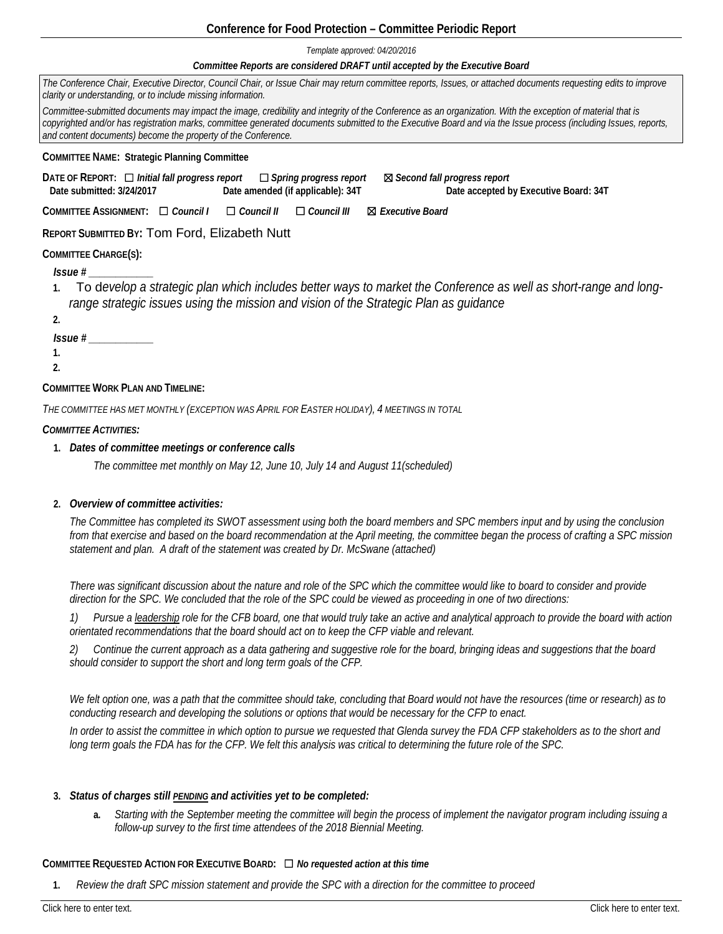## **Conference for Food Protection – Committee Periodic Report**

*Template approved: 04/20/2016*

#### *Committee Reports are considered DRAFT until accepted by the Executive Board*

| The Conference Chair, Executive Director, Council Chair, or Issue Chair may return committee reports, Issues, or attached documents requesting edits to improve<br>clarity or understanding, or to include missing information.                                                                                                                                                                |  |  |
|------------------------------------------------------------------------------------------------------------------------------------------------------------------------------------------------------------------------------------------------------------------------------------------------------------------------------------------------------------------------------------------------|--|--|
| Committee-submitted documents may impact the image, credibility and integrity of the Conference as an organization. With the exception of material that is<br>copyrighted and/or has registration marks, committee generated documents submitted to the Executive Board and via the Issue process (including Issues, reports,<br>and content documents) become the property of the Conference. |  |  |
| <b>COMMITTEE NAME: Strategic Planning Committee</b>                                                                                                                                                                                                                                                                                                                                            |  |  |
| DATE OF REPORT: $\Box$ Initial fall progress report $\Box$ Spring progress report<br>⊠ Second fall progress report<br>Date amended (if applicable): 34T<br>Date submitted: 3/24/2017<br>Date accepted by Executive Board: 34T                                                                                                                                                                  |  |  |
| COMMITTEE ASSIGNMENT: $\Box$ Council   $\Box$ Council   <br>$\Box$ Council III<br>⊠ Executive Board                                                                                                                                                                                                                                                                                            |  |  |
| <b>REPORT SUBMITTED BY: Tom Ford, Elizabeth Nutt</b>                                                                                                                                                                                                                                                                                                                                           |  |  |
| <b>COMMITTEE CHARGE(S):</b>                                                                                                                                                                                                                                                                                                                                                                    |  |  |
| $l$ ssue # $\sqrt{ }$                                                                                                                                                                                                                                                                                                                                                                          |  |  |
| To develop a strategic plan which includes better ways to market the Conference as well as short-range and long-<br>range strategic issues using the mission and vision of the Strategic Plan as quidance                                                                                                                                                                                      |  |  |
| 2.                                                                                                                                                                                                                                                                                                                                                                                             |  |  |
| $l$ ssue # $\sqrt{ }$                                                                                                                                                                                                                                                                                                                                                                          |  |  |
|                                                                                                                                                                                                                                                                                                                                                                                                |  |  |
|                                                                                                                                                                                                                                                                                                                                                                                                |  |  |

### **COMMITTEE WORK PLAN AND TIMELINE:**

*THE COMMITTEE HAS MET MONTHLY (EXCEPTION WAS APRIL FOR EASTER HOLIDAY), 4 MEETINGS IN TOTAL*

*COMMITTEE ACTIVITIES:* 

**1.** *Dates of committee meetings or conference calls*

*The committee met monthly on May 12, June 10, July 14 and August 11(scheduled)* 

#### **2.** *Overview of committee activities:*

*The Committee has completed its SWOT assessment using both the board members and SPC members input and by using the conclusion from that exercise and based on the board recommendation at the April meeting, the committee began the process of crafting a SPC mission statement and plan. A draft of the statement was created by Dr. McSwane (attached)*

*There was significant discussion about the nature and role of the SPC which the committee would like to board to consider and provide direction for the SPC. We concluded that the role of the SPC could be viewed as proceeding in one of two directions:*

*1) Pursue a leadership role for the CFB board, one that would truly take an active and analytical approach to provide the board with action orientated recommendations that the board should act on to keep the CFP viable and relevant.*

*2) Continue the current approach as a data gathering and suggestive role for the board, bringing ideas and suggestions that the board should consider to support the short and long term goals of the CFP.* 

*We felt option one, was a path that the committee should take, concluding that Board would not have the resources (time or research) as to conducting research and developing the solutions or options that would be necessary for the CFP to enact.*

*In order to assist the committee in which option to pursue we requested that Glenda survey the FDA CFP stakeholders as to the short and*  long term goals the FDA has for the CFP. We felt this analysis was critical to determining the future role of the SPC.

#### **3.** *Status of charges still PENDING and activities yet to be completed:*

**a.** *Starting with the September meeting the committee will begin the process of implement the navigator program including issuing a follow-up survey to the first time attendees of the 2018 Biennial Meeting.* 

#### **COMMITTEE REQUESTED ACTION FOR EXECUTIVE BOARD:** ☐ *No requested action at this time*

**1.** *Review the draft SPC mission statement and provide the SPC with a direction for the committee to proceed*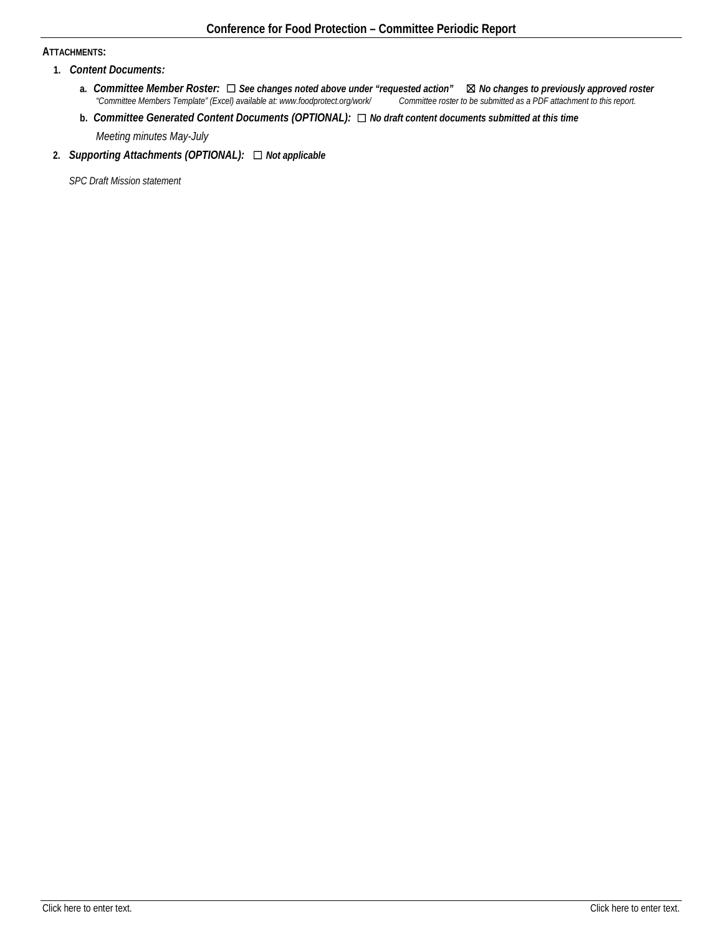## **ATTACHMENTS:**

- **1.** *Content Documents:*
	- **a.** *Committee Member Roster:* <del>□</del> *See changes noted above under "requested action"* **⊠** *No changes to previously approved roster* "Committee Members Template" (Excel) available at: www.foodprotect.org/work/ Committ *"Committee Members Template" (Excel) available at: www.foodprotect.org/work/ Committee roster to be submitted as a PDF attachment to this report.*
	- **b.** *Committee Generated Content Documents (OPTIONAL):* ☐ *No draft content documents submitted at this time Meeting minutes May-July*

# **2.** *Supporting Attachments (OPTIONAL):* ☐ *Not applicable*

*SPC Draft Mission statement*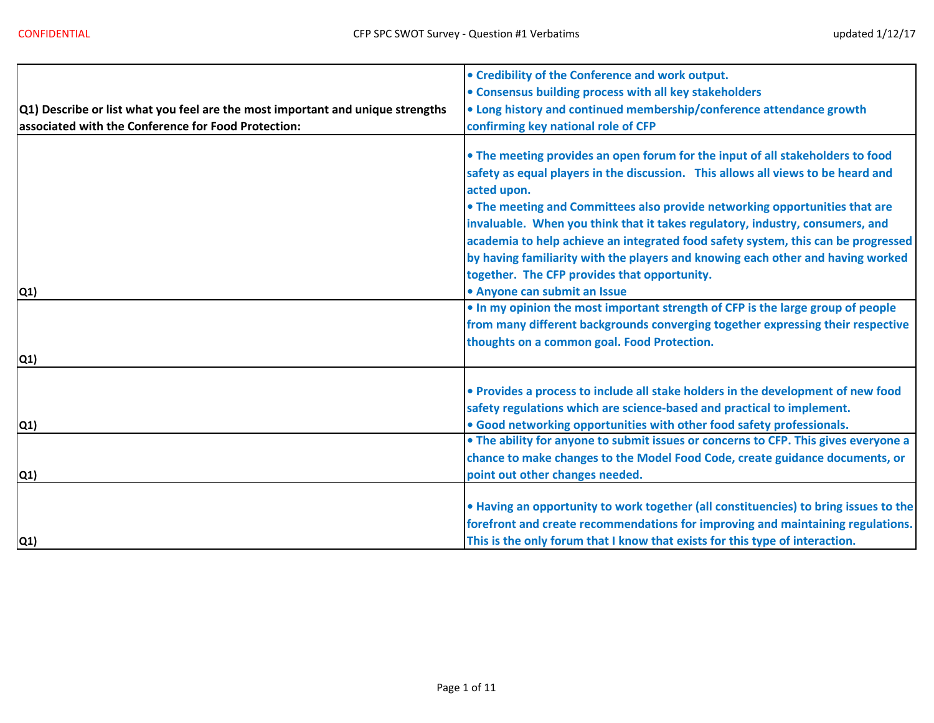|                                                                                         | • Credibility of the Conference and work output.                                                                                                                                                                                                                                                                                                                                                                                                                                                                                                                                                                                                                                             |
|-----------------------------------------------------------------------------------------|----------------------------------------------------------------------------------------------------------------------------------------------------------------------------------------------------------------------------------------------------------------------------------------------------------------------------------------------------------------------------------------------------------------------------------------------------------------------------------------------------------------------------------------------------------------------------------------------------------------------------------------------------------------------------------------------|
|                                                                                         | • Consensus building process with all key stakeholders                                                                                                                                                                                                                                                                                                                                                                                                                                                                                                                                                                                                                                       |
| $ Q1\rangle$ Describe or list what you feel are the most important and unique strengths | • Long history and continued membership/conference attendance growth                                                                                                                                                                                                                                                                                                                                                                                                                                                                                                                                                                                                                         |
| associated with the Conference for Food Protection:                                     | confirming key national role of CFP                                                                                                                                                                                                                                                                                                                                                                                                                                                                                                                                                                                                                                                          |
| Q1)                                                                                     | . The meeting provides an open forum for the input of all stakeholders to food<br>safety as equal players in the discussion. This allows all views to be heard and<br>acted upon.<br>. The meeting and Committees also provide networking opportunities that are<br>invaluable. When you think that it takes regulatory, industry, consumers, and<br>academia to help achieve an integrated food safety system, this can be progressed<br>by having familiarity with the players and knowing each other and having worked<br>together. The CFP provides that opportunity.<br>• Anyone can submit an Issue<br>. In my opinion the most important strength of CFP is the large group of people |
| Q1)                                                                                     | from many different backgrounds converging together expressing their respective<br>thoughts on a common goal. Food Protection.                                                                                                                                                                                                                                                                                                                                                                                                                                                                                                                                                               |
|                                                                                         |                                                                                                                                                                                                                                                                                                                                                                                                                                                                                                                                                                                                                                                                                              |
| Q1)                                                                                     | . Provides a process to include all stake holders in the development of new food<br>safety regulations which are science-based and practical to implement.<br>• Good networking opportunities with other food safety professionals.                                                                                                                                                                                                                                                                                                                                                                                                                                                          |
|                                                                                         | • The ability for anyone to submit issues or concerns to CFP. This gives everyone a                                                                                                                                                                                                                                                                                                                                                                                                                                                                                                                                                                                                          |
|                                                                                         | chance to make changes to the Model Food Code, create guidance documents, or                                                                                                                                                                                                                                                                                                                                                                                                                                                                                                                                                                                                                 |
| Q1)                                                                                     | point out other changes needed.                                                                                                                                                                                                                                                                                                                                                                                                                                                                                                                                                                                                                                                              |
| Q1)                                                                                     | . Having an opportunity to work together (all constituencies) to bring issues to the<br>forefront and create recommendations for improving and maintaining regulations.<br>This is the only forum that I know that exists for this type of interaction.                                                                                                                                                                                                                                                                                                                                                                                                                                      |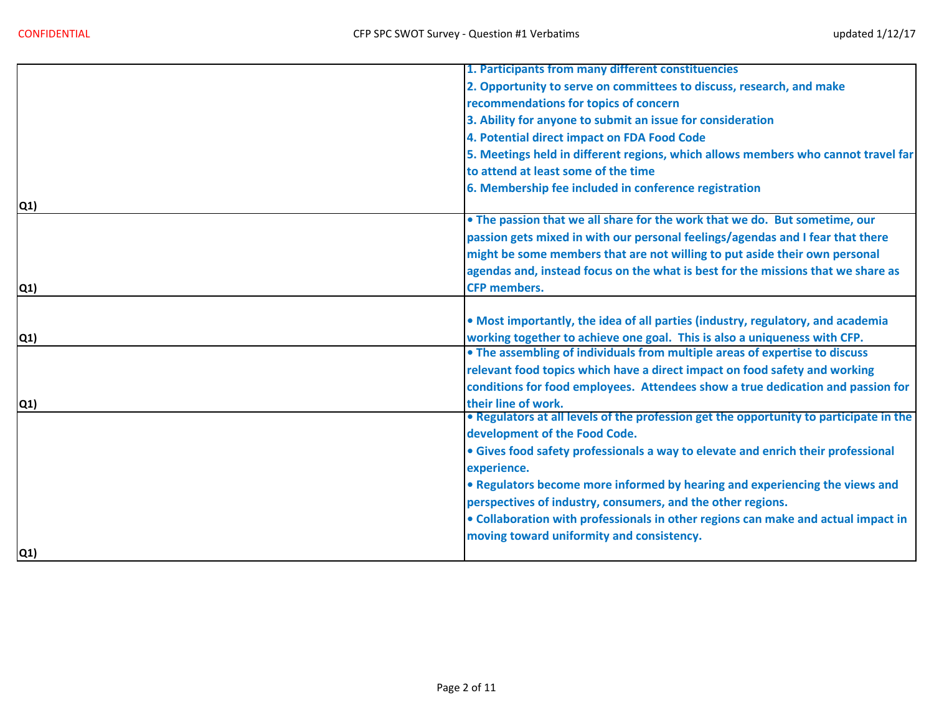|               | 1. Participants from many different constituencies                                     |
|---------------|----------------------------------------------------------------------------------------|
|               | 2. Opportunity to serve on committees to discuss, research, and make                   |
|               | recommendations for topics of concern                                                  |
|               | 3. Ability for anyone to submit an issue for consideration                             |
|               | 4. Potential direct impact on FDA Food Code                                            |
|               | 5. Meetings held in different regions, which allows members who cannot travel far      |
|               | to attend at least some of the time                                                    |
|               | 6. Membership fee included in conference registration                                  |
| Q1)           |                                                                                        |
|               | . The passion that we all share for the work that we do. But sometime, our             |
|               | passion gets mixed in with our personal feelings/agendas and I fear that there         |
|               | might be some members that are not willing to put aside their own personal             |
|               | agendas and, instead focus on the what is best for the missions that we share as       |
| Q1)           | <b>CFP members.</b>                                                                    |
|               |                                                                                        |
|               | . Most importantly, the idea of all parties (industry, regulatory, and academia        |
| Q1)           | working together to achieve one goal. This is also a uniqueness with CFP.              |
|               | • The assembling of individuals from multiple areas of expertise to discuss            |
|               | relevant food topics which have a direct impact on food safety and working             |
|               | conditions for food employees. Attendees show a true dedication and passion for        |
| Q1)           | their line of work.                                                                    |
|               | . Regulators at all levels of the profession get the opportunity to participate in the |
|               | development of the Food Code.                                                          |
|               | • Gives food safety professionals a way to elevate and enrich their professional       |
|               | experience.                                                                            |
|               | • Regulators become more informed by hearing and experiencing the views and            |
|               | perspectives of industry, consumers, and the other regions.                            |
|               | . Collaboration with professionals in other regions can make and actual impact in      |
|               | moving toward uniformity and consistency.                                              |
| $\mathsf{Q1}$ |                                                                                        |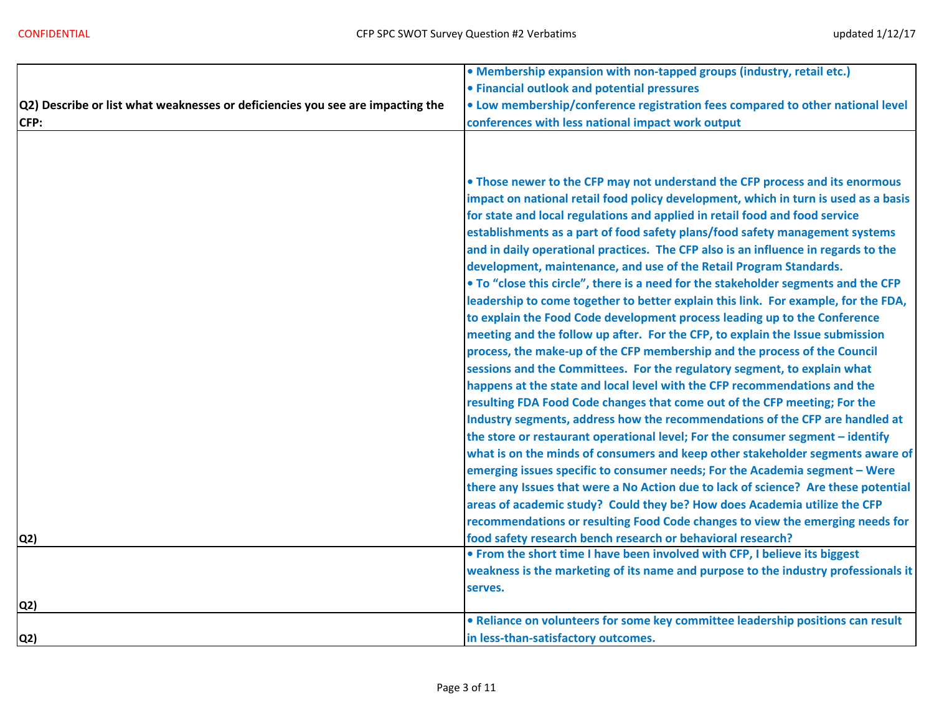|                                                                                | • Membership expansion with non-tapped groups (industry, retail etc.)               |
|--------------------------------------------------------------------------------|-------------------------------------------------------------------------------------|
|                                                                                | • Financial outlook and potential pressures                                         |
| Q2) Describe or list what weaknesses or deficiencies you see are impacting the | . Low membership/conference registration fees compared to other national level      |
| CFP:                                                                           | conferences with less national impact work output                                   |
|                                                                                |                                                                                     |
|                                                                                |                                                                                     |
|                                                                                | . Those newer to the CFP may not understand the CFP process and its enormous        |
|                                                                                | impact on national retail food policy development, which in turn is used as a basis |
|                                                                                | for state and local regulations and applied in retail food and food service         |
|                                                                                | establishments as a part of food safety plans/food safety management systems        |
|                                                                                | and in daily operational practices. The CFP also is an influence in regards to the  |
|                                                                                | development, maintenance, and use of the Retail Program Standards.                  |
|                                                                                | . To "close this circle", there is a need for the stakeholder segments and the CFP  |
|                                                                                | leadership to come together to better explain this link. For example, for the FDA,  |
|                                                                                | to explain the Food Code development process leading up to the Conference           |
|                                                                                | meeting and the follow up after. For the CFP, to explain the Issue submission       |
|                                                                                | process, the make-up of the CFP membership and the process of the Council           |
|                                                                                | sessions and the Committees. For the regulatory segment, to explain what            |
|                                                                                | happens at the state and local level with the CFP recommendations and the           |
|                                                                                | resulting FDA Food Code changes that come out of the CFP meeting; For the           |
|                                                                                | Industry segments, address how the recommendations of the CFP are handled at        |
|                                                                                | the store or restaurant operational level; For the consumer segment - identify      |
|                                                                                | what is on the minds of consumers and keep other stakeholder segments aware of      |
|                                                                                | emerging issues specific to consumer needs; For the Academia segment - Were         |
|                                                                                | there any Issues that were a No Action due to lack of science? Are these potential  |
|                                                                                | areas of academic study? Could they be? How does Academia utilize the CFP           |
|                                                                                | recommendations or resulting Food Code changes to view the emerging needs for       |
| Q2)                                                                            | food safety research bench research or behavioral research?                         |
|                                                                                | . From the short time I have been involved with CFP, I believe its biggest          |
|                                                                                | weakness is the marketing of its name and purpose to the industry professionals it  |
|                                                                                | serves.                                                                             |
| Q2)                                                                            |                                                                                     |
|                                                                                | • Reliance on volunteers for some key committee leadership positions can result     |
| Q2)                                                                            | in less-than-satisfactory outcomes.                                                 |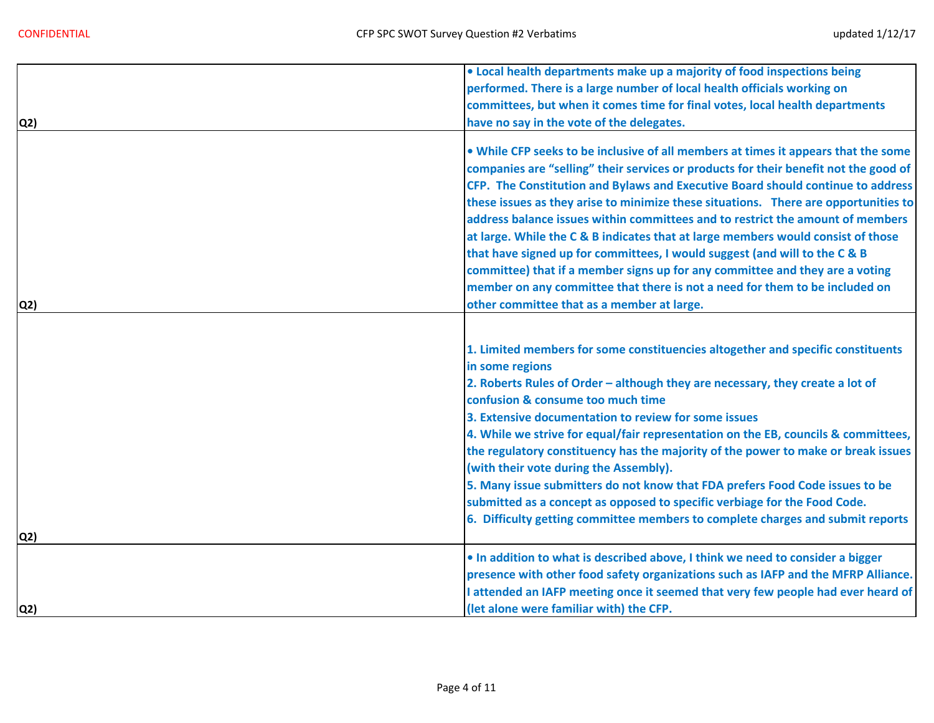|                | . Local health departments make up a majority of food inspections being                                                                                                                                                                                                                                                                                                                                                                                                                                                                                                                                                                                                                                                                              |
|----------------|------------------------------------------------------------------------------------------------------------------------------------------------------------------------------------------------------------------------------------------------------------------------------------------------------------------------------------------------------------------------------------------------------------------------------------------------------------------------------------------------------------------------------------------------------------------------------------------------------------------------------------------------------------------------------------------------------------------------------------------------------|
|                | performed. There is a large number of local health officials working on                                                                                                                                                                                                                                                                                                                                                                                                                                                                                                                                                                                                                                                                              |
|                | committees, but when it comes time for final votes, local health departments                                                                                                                                                                                                                                                                                                                                                                                                                                                                                                                                                                                                                                                                         |
| Q <sub>2</sub> | have no say in the vote of the delegates.                                                                                                                                                                                                                                                                                                                                                                                                                                                                                                                                                                                                                                                                                                            |
|                | . While CFP seeks to be inclusive of all members at times it appears that the some<br>companies are "selling" their services or products for their benefit not the good of<br>CFP. The Constitution and Bylaws and Executive Board should continue to address<br>these issues as they arise to minimize these situations. There are opportunities to<br>address balance issues within committees and to restrict the amount of members                                                                                                                                                                                                                                                                                                               |
|                | at large. While the C & B indicates that at large members would consist of those<br>that have signed up for committees, I would suggest (and will to the C & B<br>committee) that if a member signs up for any committee and they are a voting                                                                                                                                                                                                                                                                                                                                                                                                                                                                                                       |
|                | member on any committee that there is not a need for them to be included on                                                                                                                                                                                                                                                                                                                                                                                                                                                                                                                                                                                                                                                                          |
| Q2)            | other committee that as a member at large.                                                                                                                                                                                                                                                                                                                                                                                                                                                                                                                                                                                                                                                                                                           |
| Q2)            | 1. Limited members for some constituencies altogether and specific constituents<br>in some regions<br>2. Roberts Rules of Order - although they are necessary, they create a lot of<br>confusion & consume too much time<br>3. Extensive documentation to review for some issues<br>4. While we strive for equal/fair representation on the EB, councils & committees,<br>the regulatory constituency has the majority of the power to make or break issues<br>(with their vote during the Assembly).<br>5. Many issue submitters do not know that FDA prefers Food Code issues to be<br>submitted as a concept as opposed to specific verbiage for the Food Code.<br>6. Difficulty getting committee members to complete charges and submit reports |
|                | . In addition to what is described above, I think we need to consider a bigger                                                                                                                                                                                                                                                                                                                                                                                                                                                                                                                                                                                                                                                                       |
|                | presence with other food safety organizations such as IAFP and the MFRP Alliance.<br>I attended an IAFP meeting once it seemed that very few people had ever heard of                                                                                                                                                                                                                                                                                                                                                                                                                                                                                                                                                                                |
| Q2)            | (let alone were familiar with) the CFP.                                                                                                                                                                                                                                                                                                                                                                                                                                                                                                                                                                                                                                                                                                              |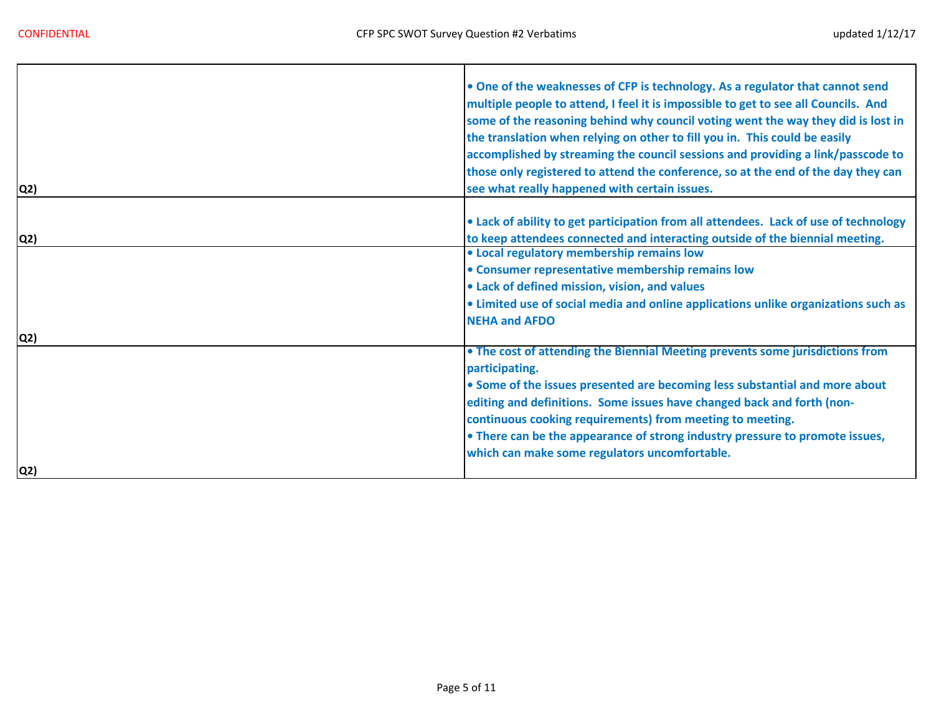Г

| Q2) | . One of the weaknesses of CFP is technology. As a regulator that cannot send<br>multiple people to attend, I feel it is impossible to get to see all Councils. And<br>some of the reasoning behind why council voting went the way they did is lost in<br>the translation when relying on other to fill you in. This could be easily<br>accomplished by streaming the council sessions and providing a link/passcode to<br>those only registered to attend the conference, so at the end of the day they can<br>see what really happened with certain issues. |
|-----|----------------------------------------------------------------------------------------------------------------------------------------------------------------------------------------------------------------------------------------------------------------------------------------------------------------------------------------------------------------------------------------------------------------------------------------------------------------------------------------------------------------------------------------------------------------|
|     |                                                                                                                                                                                                                                                                                                                                                                                                                                                                                                                                                                |
|     | • Lack of ability to get participation from all attendees. Lack of use of technology                                                                                                                                                                                                                                                                                                                                                                                                                                                                           |
| Q2) | to keep attendees connected and interacting outside of the biennial meeting.                                                                                                                                                                                                                                                                                                                                                                                                                                                                                   |
|     | • Local regulatory membership remains low                                                                                                                                                                                                                                                                                                                                                                                                                                                                                                                      |
|     | • Consumer representative membership remains low                                                                                                                                                                                                                                                                                                                                                                                                                                                                                                               |
|     | • Lack of defined mission, vision, and values                                                                                                                                                                                                                                                                                                                                                                                                                                                                                                                  |
|     | . Limited use of social media and online applications unlike organizations such as                                                                                                                                                                                                                                                                                                                                                                                                                                                                             |
|     | <b>NEHA and AFDO</b>                                                                                                                                                                                                                                                                                                                                                                                                                                                                                                                                           |
| Q2) |                                                                                                                                                                                                                                                                                                                                                                                                                                                                                                                                                                |
|     | • The cost of attending the Biennial Meeting prevents some jurisdictions from                                                                                                                                                                                                                                                                                                                                                                                                                                                                                  |
|     | participating.                                                                                                                                                                                                                                                                                                                                                                                                                                                                                                                                                 |
|     | • Some of the issues presented are becoming less substantial and more about                                                                                                                                                                                                                                                                                                                                                                                                                                                                                    |
|     | editing and definitions. Some issues have changed back and forth (non-                                                                                                                                                                                                                                                                                                                                                                                                                                                                                         |
|     | continuous cooking requirements) from meeting to meeting.                                                                                                                                                                                                                                                                                                                                                                                                                                                                                                      |
|     | • There can be the appearance of strong industry pressure to promote issues,                                                                                                                                                                                                                                                                                                                                                                                                                                                                                   |
|     | which can make some regulators uncomfortable.                                                                                                                                                                                                                                                                                                                                                                                                                                                                                                                  |
| Q2) |                                                                                                                                                                                                                                                                                                                                                                                                                                                                                                                                                                |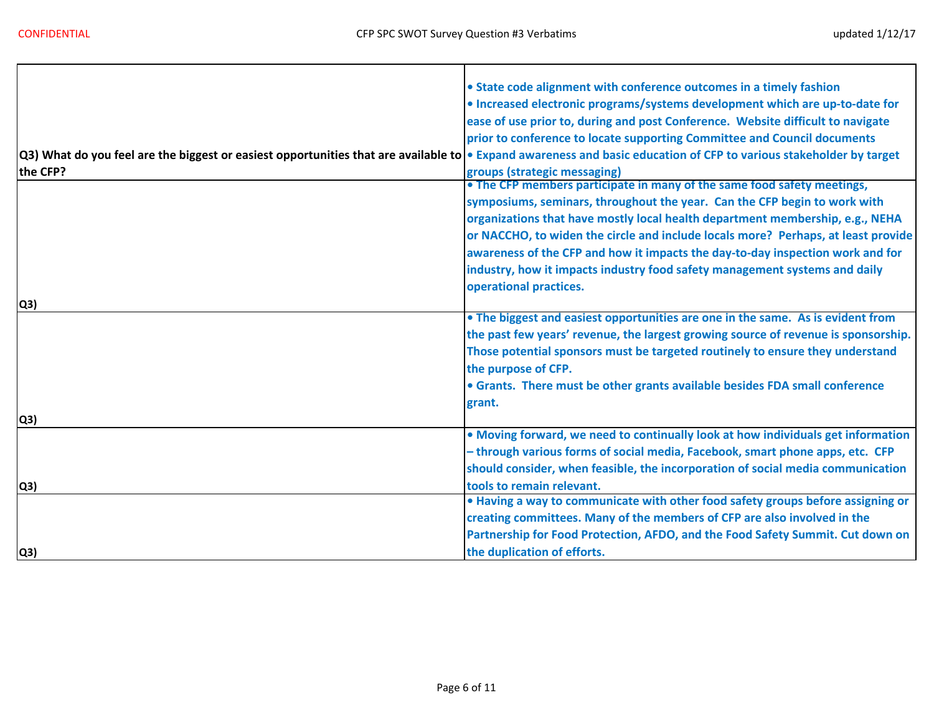÷,

|                                                                                                                                                                    | • State code alignment with conference outcomes in a timely fashion                |
|--------------------------------------------------------------------------------------------------------------------------------------------------------------------|------------------------------------------------------------------------------------|
|                                                                                                                                                                    | • Increased electronic programs/systems development which are up-to-date for       |
|                                                                                                                                                                    | ease of use prior to, during and post Conference. Website difficult to navigate    |
|                                                                                                                                                                    | prior to conference to locate supporting Committee and Council documents           |
| Q3) What do you feel are the biggest or easiest opportunities that are available to • Expand awareness and basic education of CFP to various stakeholder by target |                                                                                    |
| the CFP?                                                                                                                                                           | groups (strategic messaging)                                                       |
|                                                                                                                                                                    | • The CFP members participate in many of the same food safety meetings,            |
|                                                                                                                                                                    | symposiums, seminars, throughout the year. Can the CFP begin to work with          |
|                                                                                                                                                                    | organizations that have mostly local health department membership, e.g., NEHA      |
|                                                                                                                                                                    | or NACCHO, to widen the circle and include locals more? Perhaps, at least provide  |
|                                                                                                                                                                    | awareness of the CFP and how it impacts the day-to-day inspection work and for     |
|                                                                                                                                                                    | industry, how it impacts industry food safety management systems and daily         |
|                                                                                                                                                                    | operational practices.                                                             |
| Q3)                                                                                                                                                                |                                                                                    |
|                                                                                                                                                                    | • The biggest and easiest opportunities are one in the same. As is evident from    |
|                                                                                                                                                                    | the past few years' revenue, the largest growing source of revenue is sponsorship. |
|                                                                                                                                                                    | Those potential sponsors must be targeted routinely to ensure they understand      |
|                                                                                                                                                                    | the purpose of CFP.                                                                |
|                                                                                                                                                                    | • Grants. There must be other grants available besides FDA small conference        |
|                                                                                                                                                                    | grant.                                                                             |
| Q3)                                                                                                                                                                |                                                                                    |
|                                                                                                                                                                    | . Moving forward, we need to continually look at how individuals get information   |
|                                                                                                                                                                    | - through various forms of social media, Facebook, smart phone apps, etc. CFP      |
|                                                                                                                                                                    | should consider, when feasible, the incorporation of social media communication    |
| Q3)                                                                                                                                                                | tools to remain relevant.                                                          |
|                                                                                                                                                                    | . Having a way to communicate with other food safety groups before assigning or    |
|                                                                                                                                                                    | creating committees. Many of the members of CFP are also involved in the           |
|                                                                                                                                                                    | Partnership for Food Protection, AFDO, and the Food Safety Summit. Cut down on     |
| Q3)                                                                                                                                                                | the duplication of efforts.                                                        |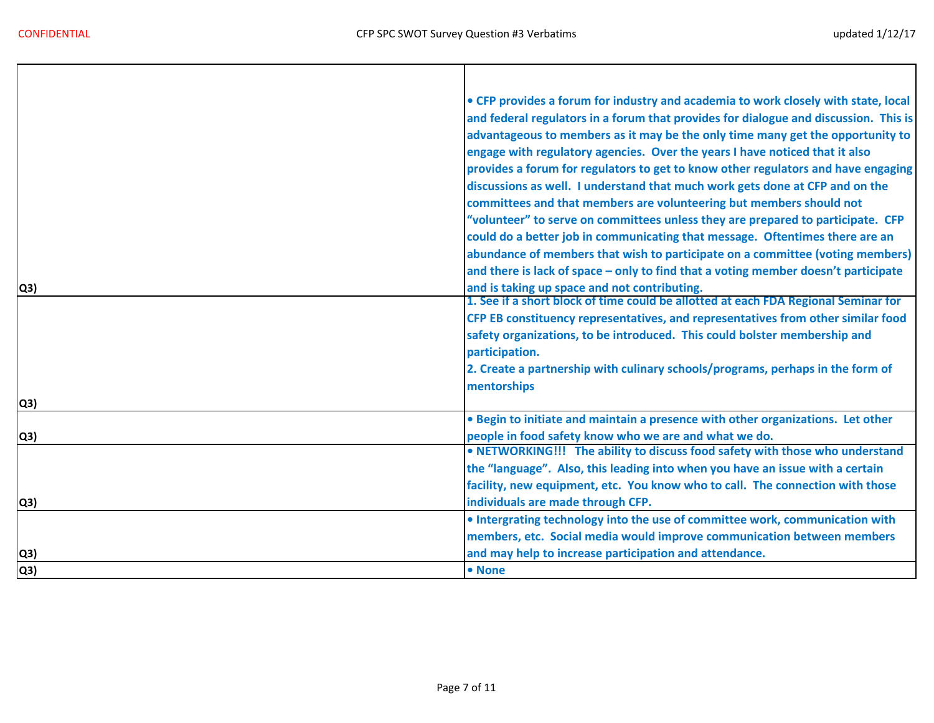$\mathbf{I}$ 

| Q3) | • CFP provides a forum for industry and academia to work closely with state, local<br>and federal regulators in a forum that provides for dialogue and discussion. This is<br>advantageous to members as it may be the only time many get the opportunity to<br>engage with regulatory agencies. Over the years I have noticed that it also<br>provides a forum for regulators to get to know other regulators and have engaging<br>discussions as well. I understand that much work gets done at CFP and on the<br>committees and that members are volunteering but members should not<br>"volunteer" to serve on committees unless they are prepared to participate. CFP<br>could do a better job in communicating that message. Oftentimes there are an<br>abundance of members that wish to participate on a committee (voting members)<br>and there is lack of space - only to find that a voting member doesn't participate<br>and is taking up space and not contributing.<br>1. See if a short block of time could be allotted at each FDA Regional Seminar for<br>CFP EB constituency representatives, and representatives from other similar food<br>safety organizations, to be introduced. This could bolster membership and |
|-----|------------------------------------------------------------------------------------------------------------------------------------------------------------------------------------------------------------------------------------------------------------------------------------------------------------------------------------------------------------------------------------------------------------------------------------------------------------------------------------------------------------------------------------------------------------------------------------------------------------------------------------------------------------------------------------------------------------------------------------------------------------------------------------------------------------------------------------------------------------------------------------------------------------------------------------------------------------------------------------------------------------------------------------------------------------------------------------------------------------------------------------------------------------------------------------------------------------------------------------------|
|     | participation.<br>2. Create a partnership with culinary schools/programs, perhaps in the form of                                                                                                                                                                                                                                                                                                                                                                                                                                                                                                                                                                                                                                                                                                                                                                                                                                                                                                                                                                                                                                                                                                                                         |
|     | mentorships                                                                                                                                                                                                                                                                                                                                                                                                                                                                                                                                                                                                                                                                                                                                                                                                                                                                                                                                                                                                                                                                                                                                                                                                                              |
| Q3) |                                                                                                                                                                                                                                                                                                                                                                                                                                                                                                                                                                                                                                                                                                                                                                                                                                                                                                                                                                                                                                                                                                                                                                                                                                          |
| Q3) | . Begin to initiate and maintain a presence with other organizations. Let other<br>people in food safety know who we are and what we do.                                                                                                                                                                                                                                                                                                                                                                                                                                                                                                                                                                                                                                                                                                                                                                                                                                                                                                                                                                                                                                                                                                 |
|     | • NETWORKING!!! The ability to discuss food safety with those who understand<br>the "language". Also, this leading into when you have an issue with a certain<br>facility, new equipment, etc. You know who to call. The connection with those                                                                                                                                                                                                                                                                                                                                                                                                                                                                                                                                                                                                                                                                                                                                                                                                                                                                                                                                                                                           |
| Q3) | individuals are made through CFP.                                                                                                                                                                                                                                                                                                                                                                                                                                                                                                                                                                                                                                                                                                                                                                                                                                                                                                                                                                                                                                                                                                                                                                                                        |
|     | . Intergrating technology into the use of committee work, communication with<br>members, etc. Social media would improve communication between members                                                                                                                                                                                                                                                                                                                                                                                                                                                                                                                                                                                                                                                                                                                                                                                                                                                                                                                                                                                                                                                                                   |
| Q3) | and may help to increase participation and attendance.                                                                                                                                                                                                                                                                                                                                                                                                                                                                                                                                                                                                                                                                                                                                                                                                                                                                                                                                                                                                                                                                                                                                                                                   |
| Q3) | • None                                                                                                                                                                                                                                                                                                                                                                                                                                                                                                                                                                                                                                                                                                                                                                                                                                                                                                                                                                                                                                                                                                                                                                                                                                   |
|     |                                                                                                                                                                                                                                                                                                                                                                                                                                                                                                                                                                                                                                                                                                                                                                                                                                                                                                                                                                                                                                                                                                                                                                                                                                          |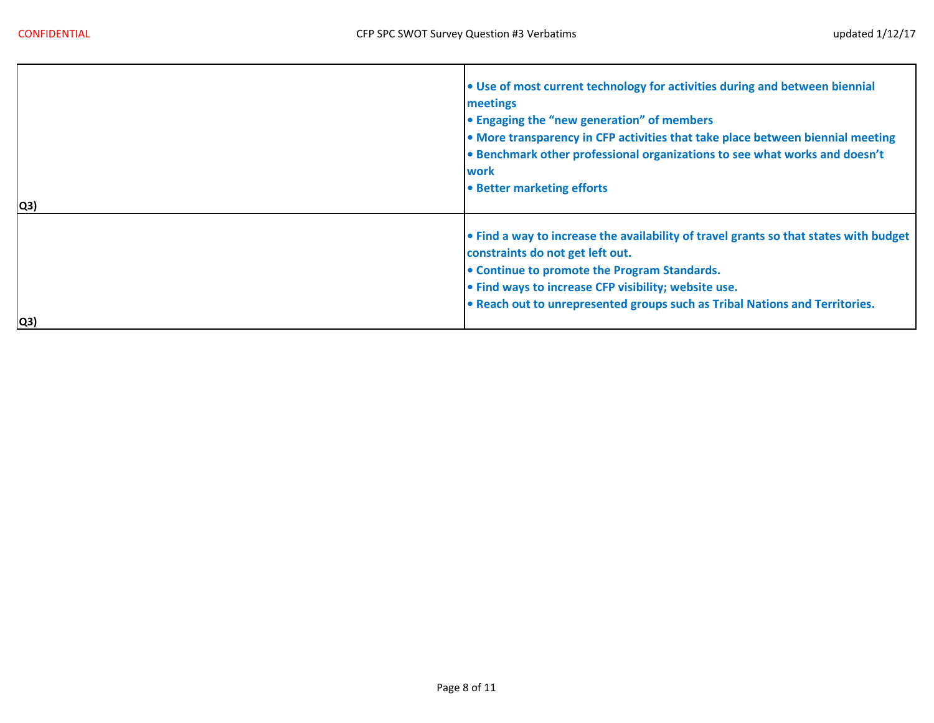÷,

| Q3) | . Use of most current technology for activities during and between biennial<br>meetings<br>• Engaging the "new generation" of members<br>• More transparency in CFP activities that take place between biennial meeting<br>• Benchmark other professional organizations to see what works and doesn't<br>work<br>• Better marketing efforts |
|-----|---------------------------------------------------------------------------------------------------------------------------------------------------------------------------------------------------------------------------------------------------------------------------------------------------------------------------------------------|
| Q3) | . Find a way to increase the availability of travel grants so that states with budget<br>constraints do not get left out.<br>• Continue to promote the Program Standards.<br>• Find ways to increase CFP visibility; website use.<br>• Reach out to unrepresented groups such as Tribal Nations and Territories.                            |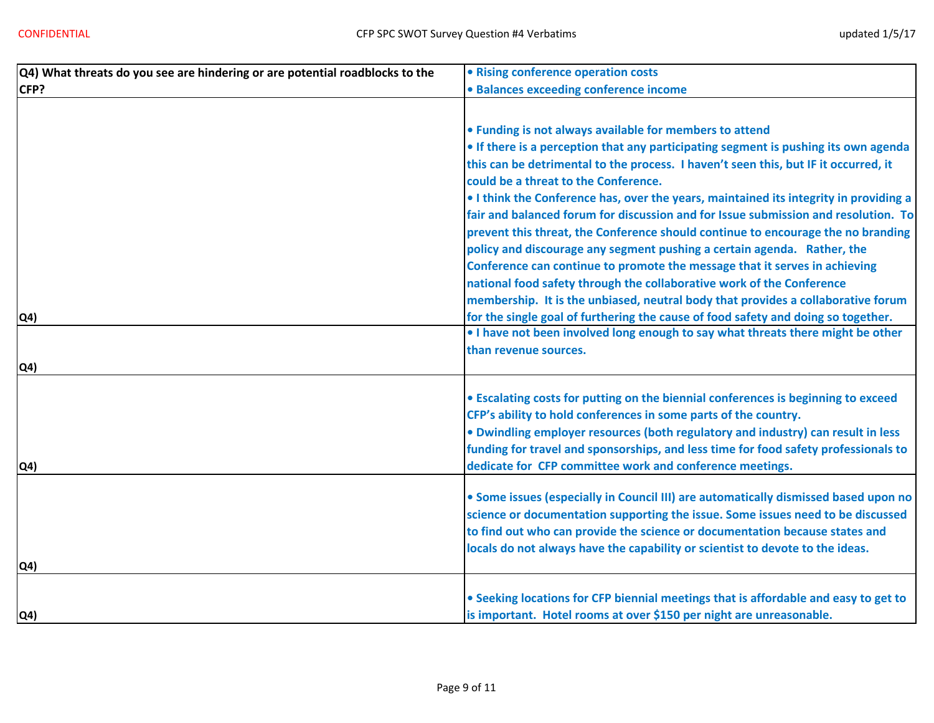| $ Q4\rangle$ What threats do you see are hindering or are potential roadblocks to the | • Rising conference operation costs                                                   |
|---------------------------------------------------------------------------------------|---------------------------------------------------------------------------------------|
| CFP?                                                                                  | · Balances exceeding conference income                                                |
|                                                                                       |                                                                                       |
|                                                                                       | . Funding is not always available for members to attend                               |
|                                                                                       | • If there is a perception that any participating segment is pushing its own agenda   |
|                                                                                       | this can be detrimental to the process. I haven't seen this, but IF it occurred, it   |
|                                                                                       | could be a threat to the Conference.                                                  |
|                                                                                       | . I think the Conference has, over the years, maintained its integrity in providing a |
|                                                                                       | fair and balanced forum for discussion and for Issue submission and resolution. To    |
|                                                                                       | prevent this threat, the Conference should continue to encourage the no branding      |
|                                                                                       | policy and discourage any segment pushing a certain agenda. Rather, the               |
|                                                                                       | Conference can continue to promote the message that it serves in achieving            |
|                                                                                       | national food safety through the collaborative work of the Conference                 |
|                                                                                       | membership. It is the unbiased, neutral body that provides a collaborative forum      |
| Q <sub>4</sub>                                                                        | for the single goal of furthering the cause of food safety and doing so together.     |
|                                                                                       | . I have not been involved long enough to say what threats there might be other       |
|                                                                                       | than revenue sources.                                                                 |
| Q4)                                                                                   |                                                                                       |
|                                                                                       | • Escalating costs for putting on the biennial conferences is beginning to exceed     |
|                                                                                       | CFP's ability to hold conferences in some parts of the country.                       |
|                                                                                       | . Dwindling employer resources (both regulatory and industry) can result in less      |
|                                                                                       | funding for travel and sponsorships, and less time for food safety professionals to   |
| Q <sub>4</sub>                                                                        | dedicate for CFP committee work and conference meetings.                              |
|                                                                                       |                                                                                       |
|                                                                                       | . Some issues (especially in Council III) are automatically dismissed based upon no   |
|                                                                                       | science or documentation supporting the issue. Some issues need to be discussed       |
|                                                                                       | to find out who can provide the science or documentation because states and           |
|                                                                                       | locals do not always have the capability or scientist to devote to the ideas.         |
| $\mathsf{Q4}$                                                                         |                                                                                       |
|                                                                                       |                                                                                       |
|                                                                                       | . Seeking locations for CFP biennial meetings that is affordable and easy to get to   |
| Q <sub>4</sub>                                                                        | is important. Hotel rooms at over \$150 per night are unreasonable.                   |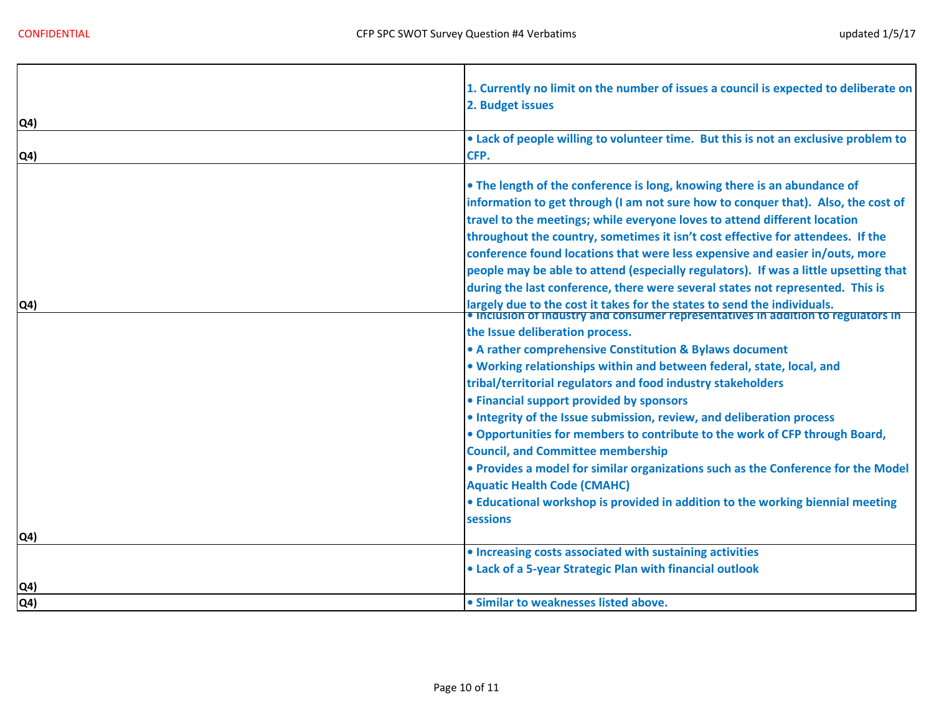|              | 1. Currently no limit on the number of issues a council is expected to deliberate on<br>2. Budget issues                                                                                                                                                                                                                                                                                                                                                                                                                                                                                |
|--------------|-----------------------------------------------------------------------------------------------------------------------------------------------------------------------------------------------------------------------------------------------------------------------------------------------------------------------------------------------------------------------------------------------------------------------------------------------------------------------------------------------------------------------------------------------------------------------------------------|
| Q4)          |                                                                                                                                                                                                                                                                                                                                                                                                                                                                                                                                                                                         |
| Q4)          | • Lack of people willing to volunteer time. But this is not an exclusive problem to<br>CFP.                                                                                                                                                                                                                                                                                                                                                                                                                                                                                             |
|              | • The length of the conference is long, knowing there is an abundance of<br>information to get through (I am not sure how to conquer that). Also, the cost of<br>travel to the meetings; while everyone loves to attend different location<br>throughout the country, sometimes it isn't cost effective for attendees. If the<br>conference found locations that were less expensive and easier in/outs, more<br>people may be able to attend (especially regulators). If was a little upsetting that<br>during the last conference, there were several states not represented. This is |
| Q4)          | largely due to the cost it takes for the states to send the individuals.<br>• Inclusion or industry and consumer representatives in addition to regulators in                                                                                                                                                                                                                                                                                                                                                                                                                           |
|              | the Issue deliberation process.<br>• A rather comprehensive Constitution & Bylaws document<br>. Working relationships within and between federal, state, local, and<br>tribal/territorial regulators and food industry stakeholders<br>• Financial support provided by sponsors                                                                                                                                                                                                                                                                                                         |
|              | • Integrity of the Issue submission, review, and deliberation process                                                                                                                                                                                                                                                                                                                                                                                                                                                                                                                   |
|              | . Opportunities for members to contribute to the work of CFP through Board,<br><b>Council, and Committee membership</b>                                                                                                                                                                                                                                                                                                                                                                                                                                                                 |
|              | . Provides a model for similar organizations such as the Conference for the Model<br><b>Aquatic Health Code (CMAHC)</b>                                                                                                                                                                                                                                                                                                                                                                                                                                                                 |
|              |                                                                                                                                                                                                                                                                                                                                                                                                                                                                                                                                                                                         |
|              | • Educational workshop is provided in addition to the working biennial meeting<br>sessions                                                                                                                                                                                                                                                                                                                                                                                                                                                                                              |
| $ Q4\rangle$ |                                                                                                                                                                                                                                                                                                                                                                                                                                                                                                                                                                                         |
|              | • Increasing costs associated with sustaining activities                                                                                                                                                                                                                                                                                                                                                                                                                                                                                                                                |
|              | • Lack of a 5-year Strategic Plan with financial outlook                                                                                                                                                                                                                                                                                                                                                                                                                                                                                                                                |
|              |                                                                                                                                                                                                                                                                                                                                                                                                                                                                                                                                                                                         |
| Q4)          |                                                                                                                                                                                                                                                                                                                                                                                                                                                                                                                                                                                         |
| $ Q4\rangle$ | · Similar to weaknesses listed above.                                                                                                                                                                                                                                                                                                                                                                                                                                                                                                                                                   |